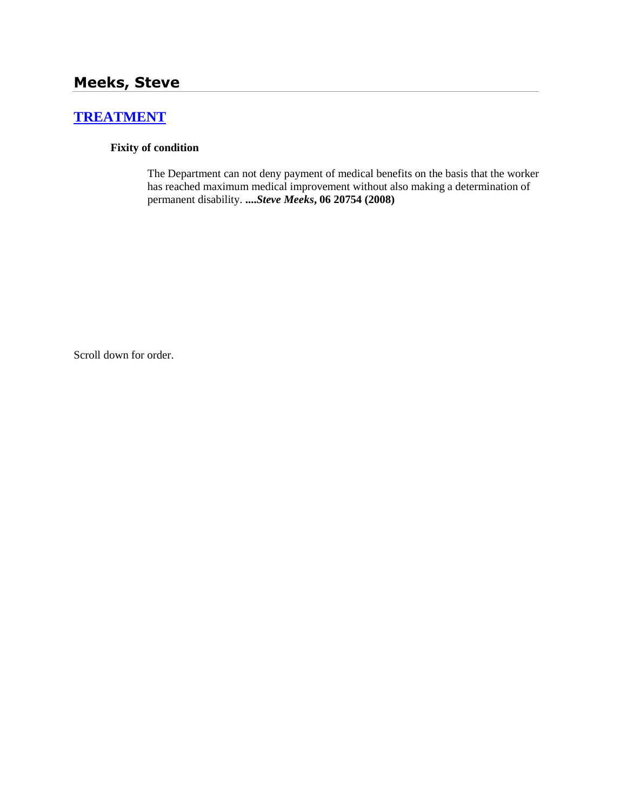# **[TREATMENT](http://www.biia.wa.gov/SDSubjectIndex.html#TREATMENT)**

### **Fixity of condition**

The Department can not deny payment of medical benefits on the basis that the worker has reached maximum medical improvement without also making a determination of permanent disability. **....***Steve Meeks***, 06 20754 (2008)**

Scroll down for order.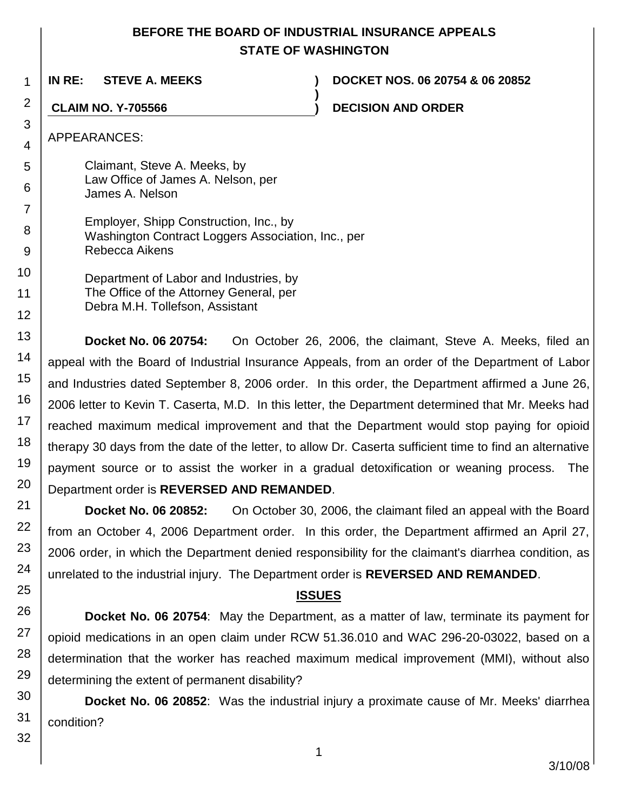# **BEFORE THE BOARD OF INDUSTRIAL INSURANCE APPEALS STATE OF WASHINGTON**

**)**

**IN RE: STEVE A. MEEKS ) DOCKET NOS. 06 20754 & 06 20852**

**CLAIM NO. Y-705566 ) DECISION AND ORDER**

APPEARANCES:

1

2

3

4

5

6

7

8 9

10

11 12

13 14

15

16

17

18 19

20

21

22

23

24

25

26

27

28

29

Claimant, Steve A. Meeks, by Law Office of James A. Nelson, per James A. Nelson

Employer, Shipp Construction, Inc., by Washington Contract Loggers Association, Inc., per Rebecca Aikens

Department of Labor and Industries, by The Office of the Attorney General, per Debra M.H. Tollefson, Assistant

**Docket No. 06 20754:** On October 26, 2006, the claimant, Steve A. Meeks, filed an appeal with the Board of Industrial Insurance Appeals, from an order of the Department of Labor and Industries dated September 8, 2006 order. In this order, the Department affirmed a June 26, 2006 letter to Kevin T. Caserta, M.D. In this letter, the Department determined that Mr. Meeks had reached maximum medical improvement and that the Department would stop paying for opioid therapy 30 days from the date of the letter, to allow Dr. Caserta sufficient time to find an alternative payment source or to assist the worker in a gradual detoxification or weaning process. The Department order is **REVERSED AND REMANDED**.

**Docket No. 06 20852:** On October 30, 2006, the claimant filed an appeal with the Board from an October 4, 2006 Department order. In this order, the Department affirmed an April 27, 2006 order, in which the Department denied responsibility for the claimant's diarrhea condition, as unrelated to the industrial injury. The Department order is **REVERSED AND REMANDED**.

## **ISSUES**

**Docket No. 06 20754**: May the Department, as a matter of law, terminate its payment for opioid medications in an open claim under RCW 51.36.010 and WAC 296-20-03022, based on a determination that the worker has reached maximum medical improvement (MMI), without also determining the extent of permanent disability?

**Docket No. 06 20852**: Was the industrial injury a proximate cause of Mr. Meeks' diarrhea condition?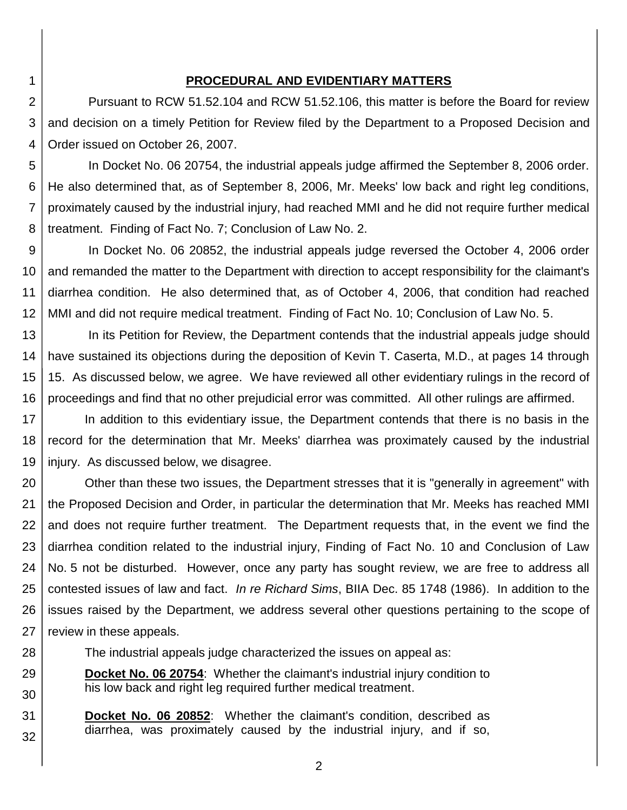#### **PROCEDURAL AND EVIDENTIARY MATTERS**

1

2 3 4 Pursuant to RCW 51.52.104 and RCW 51.52.106, this matter is before the Board for review and decision on a timely Petition for Review filed by the Department to a Proposed Decision and Order issued on October 26, 2007.

5 6 7 8 In Docket No. 06 20754, the industrial appeals judge affirmed the September 8, 2006 order. He also determined that, as of September 8, 2006, Mr. Meeks' low back and right leg conditions, proximately caused by the industrial injury, had reached MMI and he did not require further medical treatment. Finding of Fact No. 7; Conclusion of Law No. 2.

9 10 11 12 In Docket No. 06 20852, the industrial appeals judge reversed the October 4, 2006 order and remanded the matter to the Department with direction to accept responsibility for the claimant's diarrhea condition. He also determined that, as of October 4, 2006, that condition had reached MMI and did not require medical treatment. Finding of Fact No. 10; Conclusion of Law No. 5.

13 14 15 16 In its Petition for Review, the Department contends that the industrial appeals judge should have sustained its objections during the deposition of Kevin T. Caserta, M.D., at pages 14 through 15. As discussed below, we agree. We have reviewed all other evidentiary rulings in the record of proceedings and find that no other prejudicial error was committed. All other rulings are affirmed.

17 18 19 In addition to this evidentiary issue, the Department contends that there is no basis in the record for the determination that Mr. Meeks' diarrhea was proximately caused by the industrial injury. As discussed below, we disagree.

20 21 22 23 24 25 26 27 Other than these two issues, the Department stresses that it is "generally in agreement" with the Proposed Decision and Order, in particular the determination that Mr. Meeks has reached MMI and does not require further treatment. The Department requests that, in the event we find the diarrhea condition related to the industrial injury, Finding of Fact No. 10 and Conclusion of Law No. 5 not be disturbed. However, once any party has sought review, we are free to address all contested issues of law and fact. *In re Richard Sims*, BIIA Dec. 85 1748 (1986). In addition to the issues raised by the Department, we address several other questions pertaining to the scope of review in these appeals.

- 28 The industrial appeals judge characterized the issues on appeal as:
- 29 30 **Docket No. 06 20754**: Whether the claimant's industrial injury condition to his low back and right leg required further medical treatment.
- 31 32 **Docket No. 06 20852**: Whether the claimant's condition, described as diarrhea, was proximately caused by the industrial injury, and if so,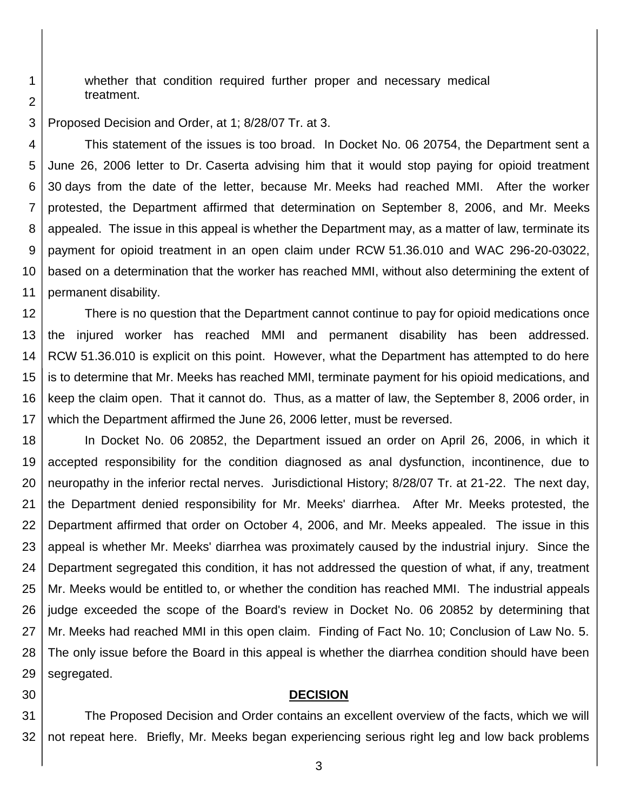whether that condition required further proper and necessary medical treatment.

3 Proposed Decision and Order, at 1; 8/28/07 Tr. at 3.

4 5 6 7 8 9 10 11 This statement of the issues is too broad. In Docket No. 06 20754, the Department sent a June 26, 2006 letter to Dr. Caserta advising him that it would stop paying for opioid treatment 30 days from the date of the letter, because Mr. Meeks had reached MMI. After the worker protested, the Department affirmed that determination on September 8, 2006, and Mr. Meeks appealed. The issue in this appeal is whether the Department may, as a matter of law, terminate its payment for opioid treatment in an open claim under RCW 51.36.010 and WAC 296-20-03022, based on a determination that the worker has reached MMI, without also determining the extent of permanent disability.

12 13 14 15 16 17 There is no question that the Department cannot continue to pay for opioid medications once the injured worker has reached MMI and permanent disability has been addressed. RCW 51.36.010 is explicit on this point. However, what the Department has attempted to do here is to determine that Mr. Meeks has reached MMI, terminate payment for his opioid medications, and keep the claim open. That it cannot do. Thus, as a matter of law, the September 8, 2006 order, in which the Department affirmed the June 26, 2006 letter, must be reversed.

18 19 20 21 22 23 24 25 26 27 28 29 In Docket No. 06 20852, the Department issued an order on April 26, 2006, in which it accepted responsibility for the condition diagnosed as anal dysfunction, incontinence, due to neuropathy in the inferior rectal nerves. Jurisdictional History; 8/28/07 Tr. at 21-22. The next day, the Department denied responsibility for Mr. Meeks' diarrhea. After Mr. Meeks protested, the Department affirmed that order on October 4, 2006, and Mr. Meeks appealed. The issue in this appeal is whether Mr. Meeks' diarrhea was proximately caused by the industrial injury. Since the Department segregated this condition, it has not addressed the question of what, if any, treatment Mr. Meeks would be entitled to, or whether the condition has reached MMI. The industrial appeals judge exceeded the scope of the Board's review in Docket No. 06 20852 by determining that Mr. Meeks had reached MMI in this open claim. Finding of Fact No. 10; Conclusion of Law No. 5. The only issue before the Board in this appeal is whether the diarrhea condition should have been segregated.

30

#### **DECISION**

31 32 The Proposed Decision and Order contains an excellent overview of the facts, which we will not repeat here. Briefly, Mr. Meeks began experiencing serious right leg and low back problems

2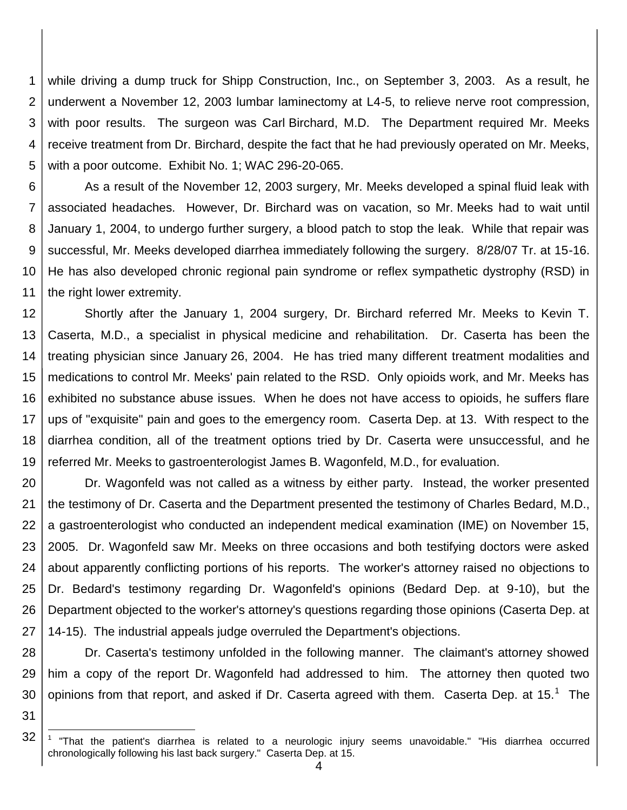1 2 3 4 5 while driving a dump truck for Shipp Construction, Inc., on September 3, 2003. As a result, he underwent a November 12, 2003 lumbar laminectomy at L4-5, to relieve nerve root compression, with poor results. The surgeon was Carl Birchard, M.D. The Department required Mr. Meeks receive treatment from Dr. Birchard, despite the fact that he had previously operated on Mr. Meeks, with a poor outcome. Exhibit No. 1; WAC 296-20-065.

6 7 8 9 10 11 As a result of the November 12, 2003 surgery, Mr. Meeks developed a spinal fluid leak with associated headaches. However, Dr. Birchard was on vacation, so Mr. Meeks had to wait until January 1, 2004, to undergo further surgery, a blood patch to stop the leak. While that repair was successful, Mr. Meeks developed diarrhea immediately following the surgery. 8/28/07 Tr. at 15-16. He has also developed chronic regional pain syndrome or reflex sympathetic dystrophy (RSD) in the right lower extremity.

12 13 14 15 16 17 18 19 Shortly after the January 1, 2004 surgery, Dr. Birchard referred Mr. Meeks to Kevin T. Caserta, M.D., a specialist in physical medicine and rehabilitation. Dr. Caserta has been the treating physician since January 26, 2004. He has tried many different treatment modalities and medications to control Mr. Meeks' pain related to the RSD. Only opioids work, and Mr. Meeks has exhibited no substance abuse issues. When he does not have access to opioids, he suffers flare ups of "exquisite" pain and goes to the emergency room. Caserta Dep. at 13. With respect to the diarrhea condition, all of the treatment options tried by Dr. Caserta were unsuccessful, and he referred Mr. Meeks to gastroenterologist James B. Wagonfeld, M.D., for evaluation.

20 21 22 23 24 25 26 27 Dr. Wagonfeld was not called as a witness by either party. Instead, the worker presented the testimony of Dr. Caserta and the Department presented the testimony of Charles Bedard, M.D., a gastroenterologist who conducted an independent medical examination (IME) on November 15, 2005. Dr. Wagonfeld saw Mr. Meeks on three occasions and both testifying doctors were asked about apparently conflicting portions of his reports. The worker's attorney raised no objections to Dr. Bedard's testimony regarding Dr. Wagonfeld's opinions (Bedard Dep. at 9-10), but the Department objected to the worker's attorney's questions regarding those opinions (Caserta Dep. at 14-15). The industrial appeals judge overruled the Department's objections.

28 29 30 Dr. Caserta's testimony unfolded in the following manner. The claimant's attorney showed him a copy of the report Dr. Wagonfeld had addressed to him. The attorney then quoted two opinions from that report, and asked if Dr. Caserta agreed with them. Caserta Dep. at 15.<sup>1</sup> The

31

l

<sup>32</sup> 1 "That the patient's diarrhea is related to a neurologic injury seems unavoidable." "His diarrhea occurred chronologically following his last back surgery." Caserta Dep. at 15.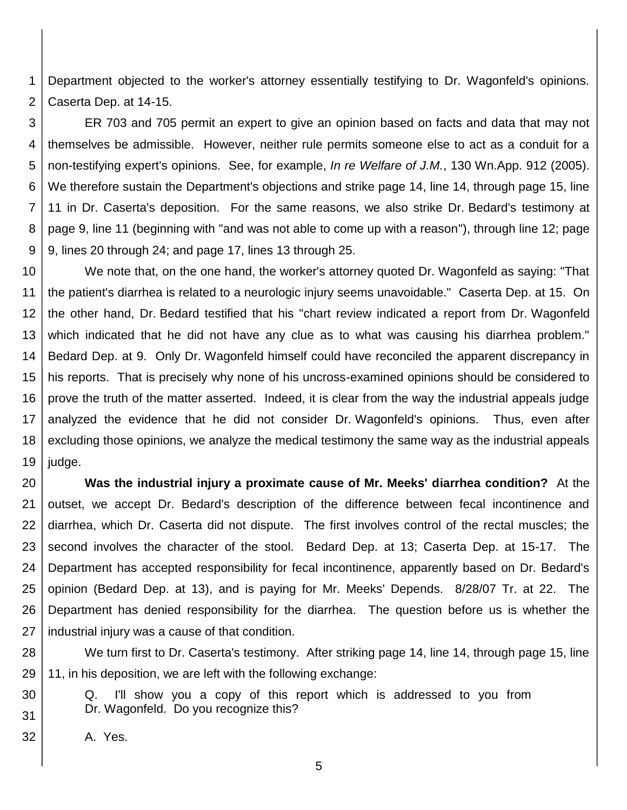1 2 Department objected to the worker's attorney essentially testifying to Dr. Wagonfeld's opinions. Caserta Dep. at 14-15.

3 4 5 6 7 8 9 ER 703 and 705 permit an expert to give an opinion based on facts and data that may not themselves be admissible. However, neither rule permits someone else to act as a conduit for a non-testifying expert's opinions. See, for example, *In re Welfare of J.M.*, 130 Wn.App. 912 (2005). We therefore sustain the Department's objections and strike page 14, line 14, through page 15, line 11 in Dr. Caserta's deposition. For the same reasons, we also strike Dr. Bedard's testimony at page 9, line 11 (beginning with "and was not able to come up with a reason"), through line 12; page 9, lines 20 through 24; and page 17, lines 13 through 25.

10 11 12 13 14 15 16 17 18 19 We note that, on the one hand, the worker's attorney quoted Dr. Wagonfeld as saying: "That the patient's diarrhea is related to a neurologic injury seems unavoidable." Caserta Dep. at 15. On the other hand, Dr. Bedard testified that his "chart review indicated a report from Dr. Wagonfeld which indicated that he did not have any clue as to what was causing his diarrhea problem." Bedard Dep. at 9. Only Dr. Wagonfeld himself could have reconciled the apparent discrepancy in his reports. That is precisely why none of his uncross-examined opinions should be considered to prove the truth of the matter asserted. Indeed, it is clear from the way the industrial appeals judge analyzed the evidence that he did not consider Dr. Wagonfeld's opinions. Thus, even after excluding those opinions, we analyze the medical testimony the same way as the industrial appeals judge.

20 21 22 23 24 25 26 27 **Was the industrial injury a proximate cause of Mr. Meeks' diarrhea condition?** At the outset, we accept Dr. Bedard's description of the difference between fecal incontinence and diarrhea, which Dr. Caserta did not dispute. The first involves control of the rectal muscles; the second involves the character of the stool. Bedard Dep. at 13; Caserta Dep. at 15-17. The Department has accepted responsibility for fecal incontinence, apparently based on Dr. Bedard's opinion (Bedard Dep. at 13), and is paying for Mr. Meeks' Depends. 8/28/07 Tr. at 22. The Department has denied responsibility for the diarrhea. The question before us is whether the industrial injury was a cause of that condition.

28 29 We turn first to Dr. Caserta's testimony. After striking page 14, line 14, through page 15, line 11, in his deposition, we are left with the following exchange:

- Q. I'll show you a copy of this report which is addressed to you from Dr. Wagonfeld. Do you recognize this?
- 32 A. Yes.

30

31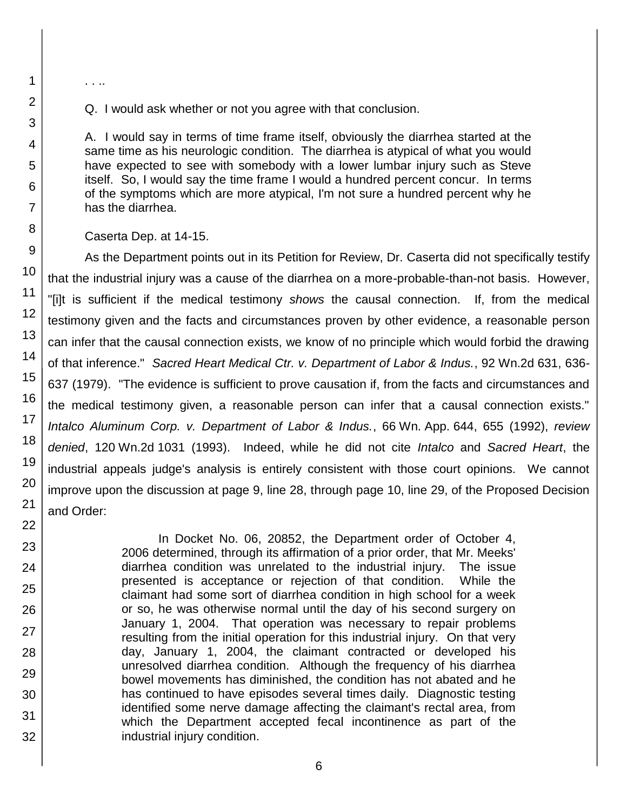. . ..

1

Q. I would ask whether or not you agree with that conclusion.

A. I would say in terms of time frame itself, obviously the diarrhea started at the same time as his neurologic condition. The diarrhea is atypical of what you would have expected to see with somebody with a lower lumbar injury such as Steve itself. So, I would say the time frame I would a hundred percent concur. In terms of the symptoms which are more atypical, I'm not sure a hundred percent why he has the diarrhea.

Caserta Dep. at 14-15.

As the Department points out in its Petition for Review, Dr. Caserta did not specifically testify that the industrial injury was a cause of the diarrhea on a more-probable-than-not basis. However, "[i]t is sufficient if the medical testimony *shows* the causal connection. If, from the medical testimony given and the facts and circumstances proven by other evidence, a reasonable person can infer that the causal connection exists, we know of no principle which would forbid the drawing of that inference." *Sacred Heart Medical Ctr. v. Department of Labor & Indus.*, 92 Wn.2d 631, 636- 637 (1979). "The evidence is sufficient to prove causation if, from the facts and circumstances and the medical testimony given, a reasonable person can infer that a causal connection exists." *Intalco Aluminum Corp. v. Department of Labor & Indus.*, 66 Wn. App. 644, 655 (1992), *review denied*, 120 Wn.2d 1031 (1993). Indeed, while he did not cite *Intalco* and *Sacred Heart*, the industrial appeals judge's analysis is entirely consistent with those court opinions. We cannot improve upon the discussion at page 9, line 28, through page 10, line 29, of the Proposed Decision and Order:

> In Docket No. 06, 20852, the Department order of October 4, 2006 determined, through its affirmation of a prior order, that Mr. Meeks' diarrhea condition was unrelated to the industrial injury. The issue presented is acceptance or rejection of that condition. While the claimant had some sort of diarrhea condition in high school for a week or so, he was otherwise normal until the day of his second surgery on January 1, 2004. That operation was necessary to repair problems resulting from the initial operation for this industrial injury. On that very day, January 1, 2004, the claimant contracted or developed his unresolved diarrhea condition. Although the frequency of his diarrhea bowel movements has diminished, the condition has not abated and he has continued to have episodes several times daily. Diagnostic testing identified some nerve damage affecting the claimant's rectal area, from which the Department accepted fecal incontinence as part of the industrial injury condition.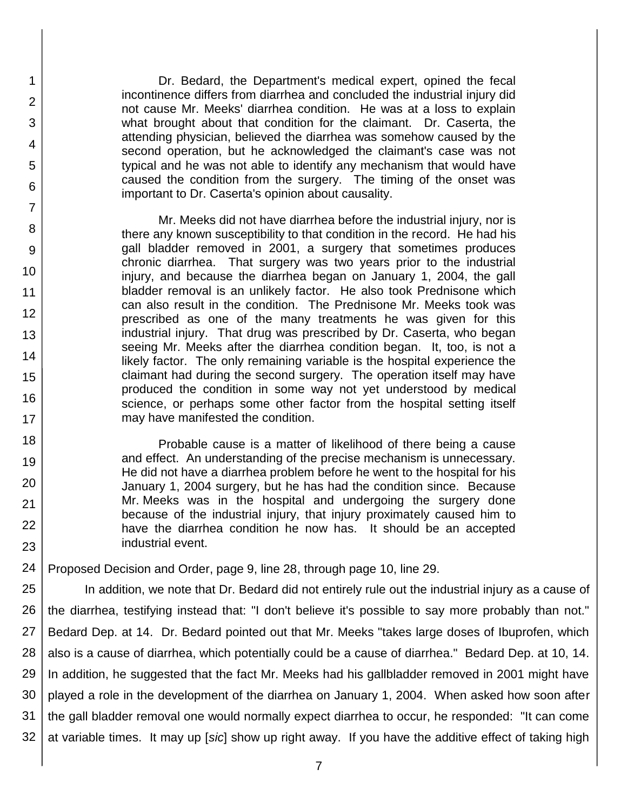Dr. Bedard, the Department's medical expert, opined the fecal incontinence differs from diarrhea and concluded the industrial injury did not cause Mr. Meeks' diarrhea condition. He was at a loss to explain what brought about that condition for the claimant. Dr. Caserta, the attending physician, believed the diarrhea was somehow caused by the second operation, but he acknowledged the claimant's case was not typical and he was not able to identify any mechanism that would have caused the condition from the surgery. The timing of the onset was important to Dr. Caserta's opinion about causality.

1

2

3

4

5

6

7

8

9

10

11 12

13

14

15

16

17 18

19

20

21 22

23

Mr. Meeks did not have diarrhea before the industrial injury, nor is there any known susceptibility to that condition in the record. He had his gall bladder removed in 2001, a surgery that sometimes produces chronic diarrhea. That surgery was two years prior to the industrial injury, and because the diarrhea began on January 1, 2004, the gall bladder removal is an unlikely factor. He also took Prednisone which can also result in the condition. The Prednisone Mr. Meeks took was prescribed as one of the many treatments he was given for this industrial injury. That drug was prescribed by Dr. Caserta, who began seeing Mr. Meeks after the diarrhea condition began. It, too, is not a likely factor. The only remaining variable is the hospital experience the claimant had during the second surgery. The operation itself may have produced the condition in some way not yet understood by medical science, or perhaps some other factor from the hospital setting itself may have manifested the condition.

Probable cause is a matter of likelihood of there being a cause and effect. An understanding of the precise mechanism is unnecessary. He did not have a diarrhea problem before he went to the hospital for his January 1, 2004 surgery, but he has had the condition since. Because Mr. Meeks was in the hospital and undergoing the surgery done because of the industrial injury, that injury proximately caused him to have the diarrhea condition he now has. It should be an accepted industrial event.

24 Proposed Decision and Order, page 9, line 28, through page 10, line 29.

25 26 27 28 29 30 31 32 In addition, we note that Dr. Bedard did not entirely rule out the industrial injury as a cause of the diarrhea, testifying instead that: "I don't believe it's possible to say more probably than not." Bedard Dep. at 14. Dr. Bedard pointed out that Mr. Meeks "takes large doses of Ibuprofen, which also is a cause of diarrhea, which potentially could be a cause of diarrhea." Bedard Dep. at 10, 14. In addition, he suggested that the fact Mr. Meeks had his gallbladder removed in 2001 might have played a role in the development of the diarrhea on January 1, 2004. When asked how soon after the gall bladder removal one would normally expect diarrhea to occur, he responded: "It can come at variable times. It may up [*sic*] show up right away. If you have the additive effect of taking high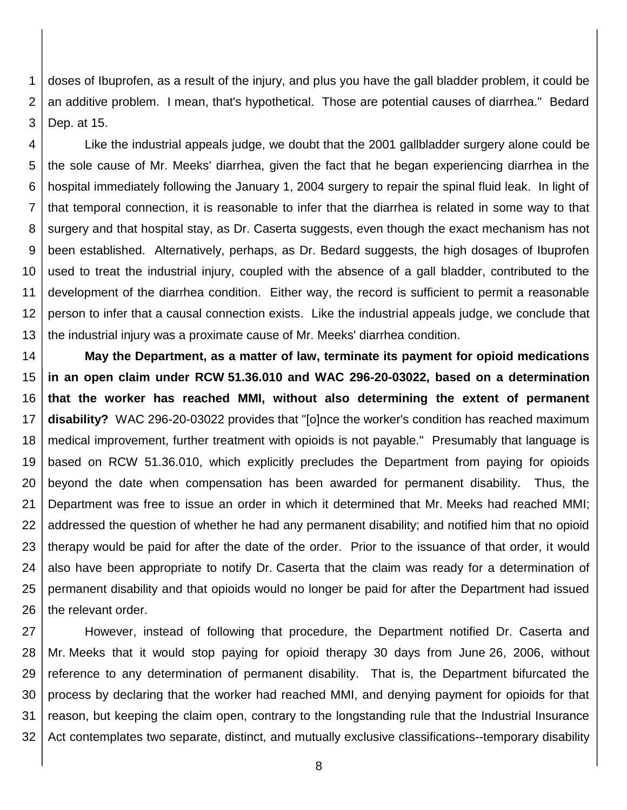1 2 3 doses of Ibuprofen, as a result of the injury, and plus you have the gall bladder problem, it could be an additive problem. I mean, that's hypothetical. Those are potential causes of diarrhea." Bedard Dep. at 15.

4 5 6 7 8 9 10 11 12 13 Like the industrial appeals judge, we doubt that the 2001 gallbladder surgery alone could be the sole cause of Mr. Meeks' diarrhea, given the fact that he began experiencing diarrhea in the hospital immediately following the January 1, 2004 surgery to repair the spinal fluid leak. In light of that temporal connection, it is reasonable to infer that the diarrhea is related in some way to that surgery and that hospital stay, as Dr. Caserta suggests, even though the exact mechanism has not been established. Alternatively, perhaps, as Dr. Bedard suggests, the high dosages of Ibuprofen used to treat the industrial injury, coupled with the absence of a gall bladder, contributed to the development of the diarrhea condition. Either way, the record is sufficient to permit a reasonable person to infer that a causal connection exists. Like the industrial appeals judge, we conclude that the industrial injury was a proximate cause of Mr. Meeks' diarrhea condition.

14 15 16 17 18 19 20 21 22 23 24 25 26 **May the Department, as a matter of law, terminate its payment for opioid medications in an open claim under RCW 51.36.010 and WAC 296-20-03022, based on a determination that the worker has reached MMI, without also determining the extent of permanent disability?** WAC 296-20-03022 provides that "[o]nce the worker's condition has reached maximum medical improvement, further treatment with opioids is not payable." Presumably that language is based on RCW 51.36.010, which explicitly precludes the Department from paying for opioids beyond the date when compensation has been awarded for permanent disability. Thus, the Department was free to issue an order in which it determined that Mr. Meeks had reached MMI; addressed the question of whether he had any permanent disability; and notified him that no opioid therapy would be paid for after the date of the order. Prior to the issuance of that order, it would also have been appropriate to notify Dr. Caserta that the claim was ready for a determination of permanent disability and that opioids would no longer be paid for after the Department had issued the relevant order.

27 28 29 30 31 32 However, instead of following that procedure, the Department notified Dr. Caserta and Mr. Meeks that it would stop paying for opioid therapy 30 days from June 26, 2006, without reference to any determination of permanent disability. That is, the Department bifurcated the process by declaring that the worker had reached MMI, and denying payment for opioids for that reason, but keeping the claim open, contrary to the longstanding rule that the Industrial Insurance Act contemplates two separate, distinct, and mutually exclusive classifications--temporary disability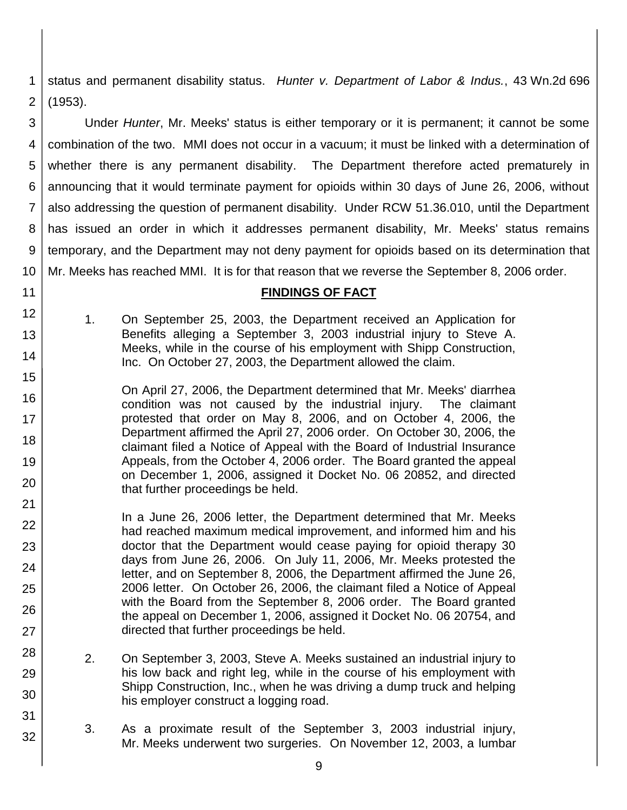1 2 status and permanent disability status. *Hunter v. Department of Labor & Indus.*, 43 Wn.2d 696 (1953).

3 4 5 6 7 8 9 10 Under *Hunter*, Mr. Meeks' status is either temporary or it is permanent; it cannot be some combination of the two. MMI does not occur in a vacuum; it must be linked with a determination of whether there is any permanent disability. The Department therefore acted prematurely in announcing that it would terminate payment for opioids within 30 days of June 26, 2006, without also addressing the question of permanent disability. Under RCW 51.36.010, until the Department has issued an order in which it addresses permanent disability, Mr. Meeks' status remains temporary, and the Department may not deny payment for opioids based on its determination that Mr. Meeks has reached MMI. It is for that reason that we reverse the September 8, 2006 order.

#### **FINDINGS OF FACT**

1. On September 25, 2003, the Department received an Application for Benefits alleging a September 3, 2003 industrial injury to Steve A. Meeks, while in the course of his employment with Shipp Construction, Inc. On October 27, 2003, the Department allowed the claim.

11 12

13

14

15

16

17

18

19

20

21

28

29

30

31

32

On April 27, 2006, the Department determined that Mr. Meeks' diarrhea condition was not caused by the industrial injury. The claimant protested that order on May 8, 2006, and on October 4, 2006, the Department affirmed the April 27, 2006 order. On October 30, 2006, the claimant filed a Notice of Appeal with the Board of Industrial Insurance Appeals, from the October 4, 2006 order. The Board granted the appeal on December 1, 2006, assigned it Docket No. 06 20852, and directed that further proceedings be held.

- 22 23 24 25 26 27 In a June 26, 2006 letter, the Department determined that Mr. Meeks had reached maximum medical improvement, and informed him and his doctor that the Department would cease paying for opioid therapy 30 days from June 26, 2006. On July 11, 2006, Mr. Meeks protested the letter, and on September 8, 2006, the Department affirmed the June 26, 2006 letter. On October 26, 2006, the claimant filed a Notice of Appeal with the Board from the September 8, 2006 order. The Board granted the appeal on December 1, 2006, assigned it Docket No. 06 20754, and directed that further proceedings be held.
	- 2. On September 3, 2003, Steve A. Meeks sustained an industrial injury to his low back and right leg, while in the course of his employment with Shipp Construction, Inc., when he was driving a dump truck and helping his employer construct a logging road.
	- 3. As a proximate result of the September 3, 2003 industrial injury, Mr. Meeks underwent two surgeries. On November 12, 2003, a lumbar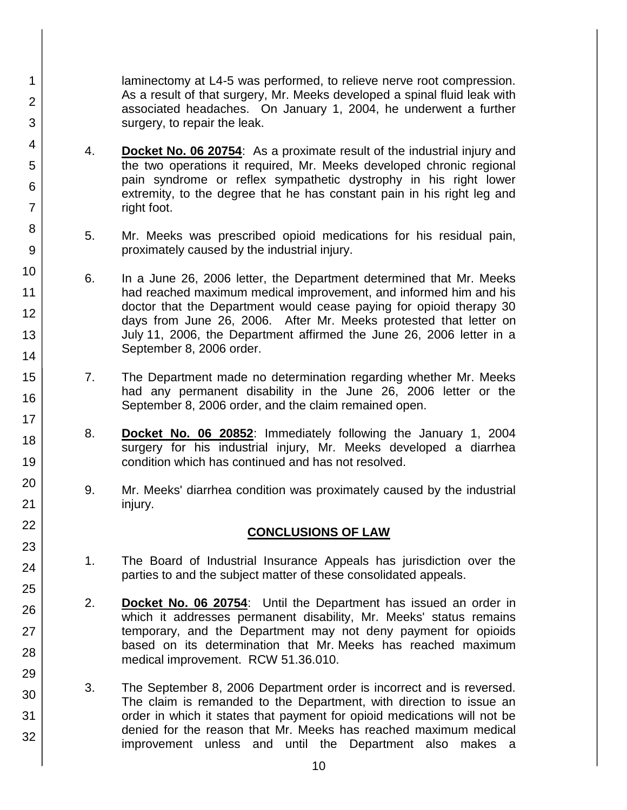laminectomy at L4-5 was performed, to relieve nerve root compression. As a result of that surgery, Mr. Meeks developed a spinal fluid leak with associated headaches. On January 1, 2004, he underwent a further surgery, to repair the leak.

4. **Docket No. 06 20754**: As a proximate result of the industrial injury and the two operations it required, Mr. Meeks developed chronic regional pain syndrome or reflex sympathetic dystrophy in his right lower extremity, to the degree that he has constant pain in his right leg and right foot.

1

2

3

4

5

6

7

8

9

10

11

12

13

14

15

16

17 18

19

20

21 22

23

24

25

26

27

28

29

30

31

32

- 5. Mr. Meeks was prescribed opioid medications for his residual pain, proximately caused by the industrial injury.
- 6. In a June 26, 2006 letter, the Department determined that Mr. Meeks had reached maximum medical improvement, and informed him and his doctor that the Department would cease paying for opioid therapy 30 days from June 26, 2006. After Mr. Meeks protested that letter on July 11, 2006, the Department affirmed the June 26, 2006 letter in a September 8, 2006 order.
- 7. The Department made no determination regarding whether Mr. Meeks had any permanent disability in the June 26, 2006 letter or the September 8, 2006 order, and the claim remained open.
- 8. **Docket No. 06 20852**: Immediately following the January 1, 2004 surgery for his industrial injury, Mr. Meeks developed a diarrhea condition which has continued and has not resolved.
- 9. Mr. Meeks' diarrhea condition was proximately caused by the industrial injury.

# **CONCLUSIONS OF LAW**

- 1. The Board of Industrial Insurance Appeals has jurisdiction over the parties to and the subject matter of these consolidated appeals.
- 2. **Docket No. 06 20754**: Until the Department has issued an order in which it addresses permanent disability, Mr. Meeks' status remains temporary, and the Department may not deny payment for opioids based on its determination that Mr. Meeks has reached maximum medical improvement. RCW 51.36.010.
- 3. The September 8, 2006 Department order is incorrect and is reversed. The claim is remanded to the Department, with direction to issue an order in which it states that payment for opioid medications will not be denied for the reason that Mr. Meeks has reached maximum medical improvement unless and until the Department also makes a